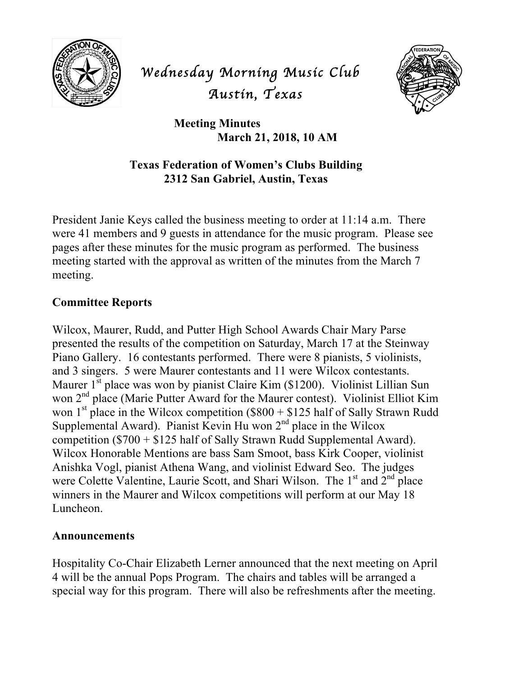

# *Wednesday Morning Music Club Austin, Texas*



**Meeting Minutes March 21, 2018, 10 AM**

## **Texas Federation of Women's Clubs Building 2312 San Gabriel, Austin, Texas**

President Janie Keys called the business meeting to order at 11:14 a.m. There were 41 members and 9 guests in attendance for the music program. Please see pages after these minutes for the music program as performed. The business meeting started with the approval as written of the minutes from the March 7 meeting.

## **Committee Reports**

Wilcox, Maurer, Rudd, and Putter High School Awards Chair Mary Parse presented the results of the competition on Saturday, March 17 at the Steinway Piano Gallery. 16 contestants performed. There were 8 pianists, 5 violinists, and 3 singers. 5 were Maurer contestants and 11 were Wilcox contestants. Maurer  $1^{st}$  place was won by pianist Claire Kim (\$1200). Violinist Lillian Sun won 2<sup>nd</sup> place (Marie Putter Award for the Maurer contest). Violinist Elliot Kim won 1<sup>st</sup> place in the Wilcox competition (\$800 + \$125 half of Sally Strawn Rudd Supplemental Award). Pianist Kevin Hu won  $2<sup>nd</sup>$  place in the Wilcox competition (\$700 + \$125 half of Sally Strawn Rudd Supplemental Award). Wilcox Honorable Mentions are bass Sam Smoot, bass Kirk Cooper, violinist Anishka Vogl, pianist Athena Wang, and violinist Edward Seo. The judges were Colette Valentine, Laurie Scott, and Shari Wilson. The  $1<sup>st</sup>$  and  $2<sup>nd</sup>$  place winners in the Maurer and Wilcox competitions will perform at our May 18 Luncheon.

## **Announcements**

Hospitality Co-Chair Elizabeth Lerner announced that the next meeting on April 4 will be the annual Pops Program. The chairs and tables will be arranged a special way for this program. There will also be refreshments after the meeting.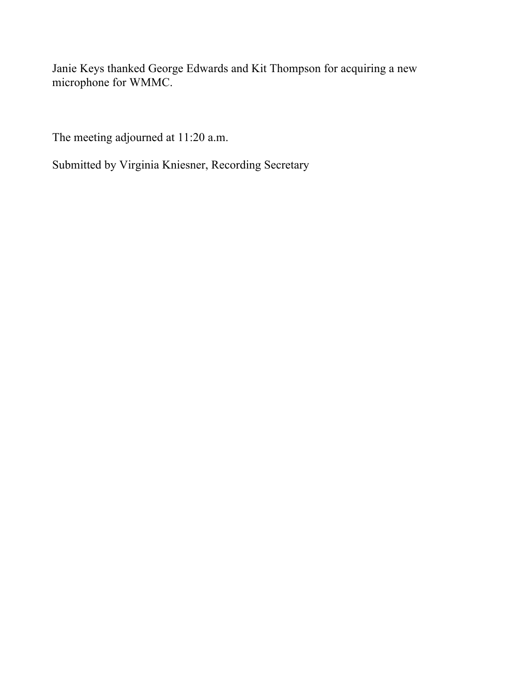Janie Keys thanked George Edwards and Kit Thompson for acquiring a new microphone for WMMC.

The meeting adjourned at 11:20 a.m.

Submitted by Virginia Kniesner, Recording Secretary